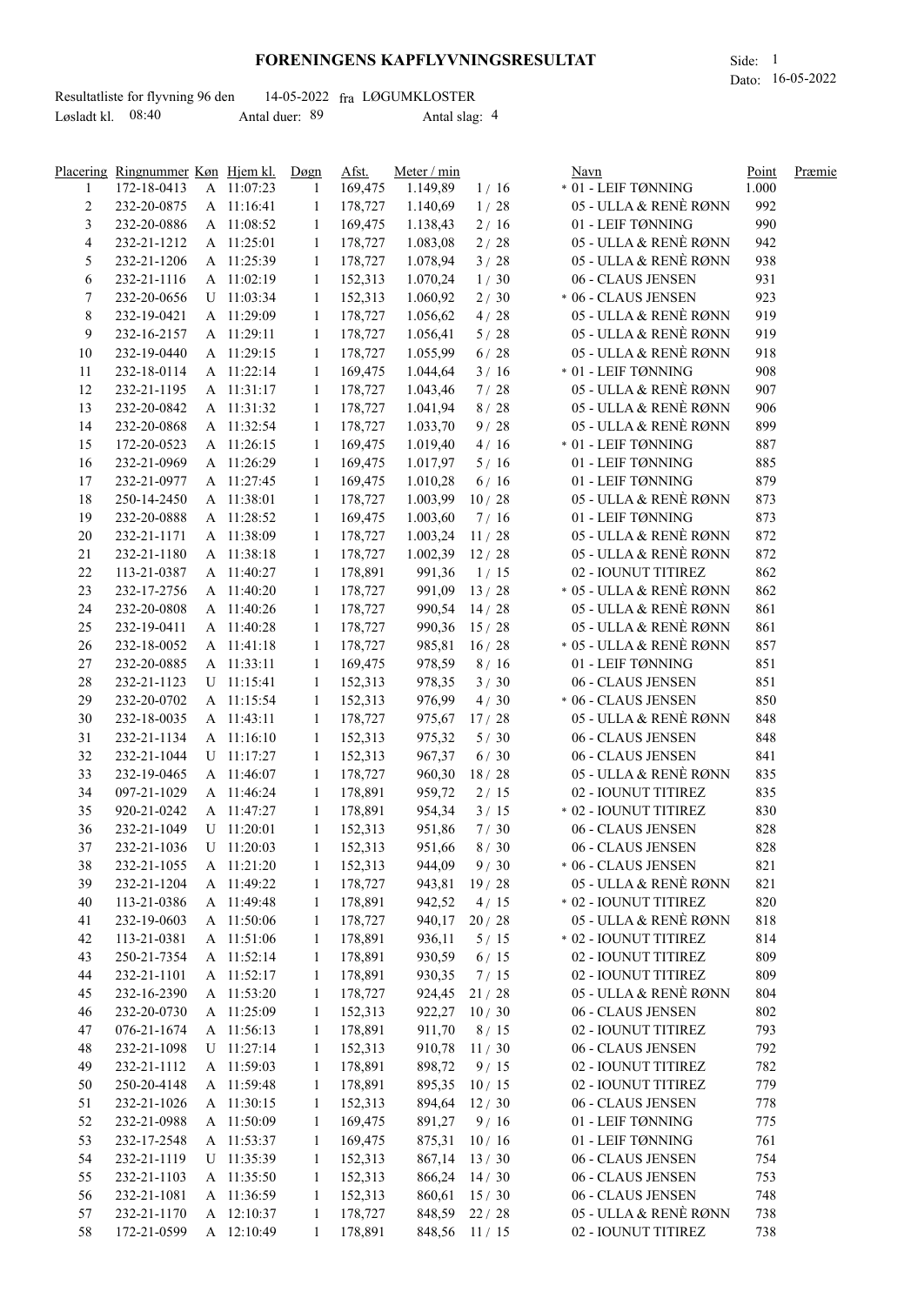## **FORENINGENS KAPFLYVNINGSRESULTAT** Side: 1

Dato: 16-05-2022

|                     | Resultatliste for flyvning 96 den |                | 14-05-2022 fra LØGUMKLOSTER |  |
|---------------------|-----------------------------------|----------------|-----------------------------|--|
| Løsladt kl. $08:40$ |                                   | Antal duer: 89 | Antal slag: 4               |  |

|                | Placering Ringnummer Køn Hjem kl. |              | Døgn         | Afst.   | Meter / min    |        | Navn                    | Point | Præmie |
|----------------|-----------------------------------|--------------|--------------|---------|----------------|--------|-------------------------|-------|--------|
| 1              | 172-18-0413                       | A 11:07:23   | -1           | 169,475 | 1.149,89       | 1/16   | * 01 - LEIF TØNNING     | 1.000 |        |
| $\overline{c}$ | 232-20-0875                       | A 11:16:41   | $\mathbf{1}$ | 178,727 | 1.140,69       | 1/28   | 05 - ULLA & RENÈ RØNN   | 992   |        |
| 3              | 232-20-0886                       | A 11:08:52   | 1            | 169,475 | 1.138,43       | 2/16   | 01 - LEIF TØNNING       | 990   |        |
| 4              | 232-21-1212                       | A 11:25:01   | 1            | 178,727 | 1.083,08       | 2/28   | 05 - ULLA & RENÈ RØNN   | 942   |        |
| 5              | 232-21-1206                       | A 11:25:39   | 1            | 178,727 | 1.078,94       | 3/28   | 05 - ULLA & RENÈ RØNN   | 938   |        |
| 6              | 232-21-1116                       | A 11:02:19   | 1            | 152,313 | 1.070,24       | 1/30   | 06 - CLAUS JENSEN       | 931   |        |
| 7              | 232-20-0656                       | $U$ 11:03:34 | 1            | 152,313 | 1.060,92       | 2/30   | * 06 - CLAUS JENSEN     | 923   |        |
|                | 232-19-0421                       |              | 1            | 178,727 |                |        | 05 - ULLA & RENÈ RØNN   | 919   |        |
| 8              |                                   | A 11:29:09   |              |         | 1.056,62       | 4/28   |                         |       |        |
| 9              | 232-16-2157                       | A 11:29:11   | 1            | 178,727 | 1.056,41       | 5/28   | 05 - ULLA & RENÈ RØNN   | 919   |        |
| 10             | 232-19-0440                       | A 11:29:15   | 1            | 178,727 | 1.055,99       | 6/28   | 05 - ULLA & RENÈ RØNN   | 918   |        |
| 11             | 232-18-0114                       | A 11:22:14   | 1            | 169,475 | 1.044,64       | 3/16   | * 01 - LEIF TØNNING     | 908   |        |
| 12             | 232-21-1195                       | A 11:31:17   | 1            | 178,727 | 1.043,46       | 7/28   | 05 - ULLA & RENÈ RØNN   | 907   |        |
| 13             | 232-20-0842                       | A 11:31:32   | 1            | 178,727 | 1.041,94       | 8/28   | 05 - ULLA & RENÈ RØNN   | 906   |        |
| 14             | 232-20-0868                       | A 11:32:54   | 1            | 178,727 | 1.033,70       | 9/28   | 05 - ULLA & RENÈ RØNN   | 899   |        |
| 15             | 172-20-0523                       | A 11:26:15   | 1            | 169,475 | 1.019,40       | 4/16   | * 01 - LEIF TØNNING     | 887   |        |
| 16             | 232-21-0969                       | A 11:26:29   | -1           | 169,475 | 1.017,97       | 5/16   | 01 - LEIF TØNNING       | 885   |        |
| 17             | 232-21-0977                       | A 11:27:45   | -1           | 169,475 | 1.010,28       | 6/16   | 01 - LEIF TØNNING       | 879   |        |
| 18             | 250-14-2450                       | A 11:38:01   | $\mathbf{1}$ | 178,727 | 1.003,99       | 10/28  | 05 - ULLA & RENÈ RØNN   | 873   |        |
| 19             | 232-20-0888                       | A 11:28:52   | $\mathbf{1}$ | 169,475 | 1.003,60       | 7/16   | 01 - LEIF TØNNING       | 873   |        |
| $20\,$         | 232-21-1171                       | A 11:38:09   | -1           | 178,727 | 1.003,24       | 11/28  | 05 - ULLA & RENÈ RØNN   | 872   |        |
| $21\,$         | 232-21-1180                       | A 11:38:18   | -1           | 178,727 | 1.002,39       | 12/28  | 05 - ULLA & RENÈ RØNN   | 872   |        |
| $22\,$         | 113-21-0387                       | A 11:40:27   | -1           | 178,891 | 991,36         | 1/15   | 02 - IOUNUT TITIREZ     | 862   |        |
| 23             | 232-17-2756                       | A 11:40:20   | -1           | 178,727 | 991,09         | 13/28  | * 05 - ULLA & RENÈ RØNN | 862   |        |
| 24             | 232-20-0808                       | A 11:40:26   | -1           | 178,727 | 990,54         | 14/28  | 05 - ULLA & RENÈ RØNN   | 861   |        |
| 25             | 232-19-0411                       | A 11:40:28   | -1           | 178,727 | 990,36         | 15/28  | 05 - ULLA & RENÈ RØNN   | 861   |        |
|                |                                   |              |              |         |                |        |                         |       |        |
| 26             | 232-18-0052                       | A 11:41:18   | -1           | 178,727 | 985,81 16/28   |        | * 05 - ULLA & RENÈ RØNN | 857   |        |
| 27             | 232-20-0885                       | A 11:33:11   | -1           | 169,475 | 978,59         | 8/16   | 01 - LEIF TØNNING       | 851   |        |
| $28\,$         | 232-21-1123                       | U 11:15:41   | 1            | 152,313 | 978,35         | 3/30   | 06 - CLAUS JENSEN       | 851   |        |
| 29             | 232-20-0702                       | A 11:15:54   | 1            | 152,313 | 976,99         | 4/30   | * 06 - CLAUS JENSEN     | 850   |        |
| 30             | 232-18-0035                       | A 11:43:11   | 1            | 178,727 | 975,67         | 17/28  | 05 - ULLA & RENÈ RØNN   | 848   |        |
| 31             | 232-21-1134                       | A 11:16:10   | 1            | 152,313 | 975,32         | $5/30$ | 06 - CLAUS JENSEN       | 848   |        |
| 32             | 232-21-1044                       | U 11:17:27   | 1            | 152,313 | 967,37         | 6/30   | 06 - CLAUS JENSEN       | 841   |        |
| 33             | 232-19-0465                       | A 11:46:07   | 1            | 178,727 | 960,30         | 18/28  | 05 - ULLA & RENÈ RØNN   | 835   |        |
| 34             | 097-21-1029                       | A 11:46:24   | 1            | 178,891 | 959,72         | 2/15   | 02 - IOUNUT TITIREZ     | 835   |        |
| 35             | 920-21-0242                       | A 11:47:27   | 1            | 178,891 | 954,34         | 3/15   | * 02 - IOUNUT TITIREZ   | 830   |        |
| 36             | 232-21-1049                       | U 11:20:01   | 1            | 152,313 | 951,86         | 7/30   | 06 - CLAUS JENSEN       | 828   |        |
| 37             | 232-21-1036                       | $U$ 11:20:03 | 1            | 152,313 | 951,66         | 8/30   | 06 - CLAUS JENSEN       | 828   |        |
| 38             | 232-21-1055                       | A 11:21:20   | 1            | 152,313 | 944,09         | 9/30   | * 06 - CLAUS JENSEN     | 821   |        |
| 39             | 232-21-1204                       | A 11:49:22   | 1            | 178,727 | 943,81         | 19/28  | 05 - ULLA & RENÈ RØNN   | 821   |        |
| 40             | 113-21-0386                       | A 11:49:48   | 1            | 178,891 | 942,52         | 4/15   | * 02 - IOUNUT TITIREZ   | 820   |        |
| 41             | 232-19-0603                       | A 11:50:06   | 1            | 178,727 | 940,17         | 20/28  | 05 - ULLA & RENÈ RØNN   | 818   |        |
|                |                                   |              |              |         |                |        |                         |       |        |
| 42             | 113-21-0381                       | A 11:51:06   | 1            | 178,891 | 936,11         | 5/15   | * 02 - IOUNUT TITIREZ   | 814   |        |
| 43             | 250-21-7354                       | A 11:52:14   | 1            | 178,891 | 930,59         | 6/15   | 02 - IOUNUT TITIREZ     | 809   |        |
| 44             | 232-21-1101                       | A 11:52:17   | 1            | 178,891 | 930,35         | 7/15   | 02 - IOUNUT TITIREZ     | 809   |        |
| 45             | 232-16-2390                       | A 11:53:20   | 1            | 178,727 | 924,45         | 21/28  | 05 - ULLA & RENÈ RØNN   | 804   |        |
| 46             | 232-20-0730                       | A 11:25:09   | 1            | 152,313 | 922,27         | 10/30  | 06 - CLAUS JENSEN       | 802   |        |
| 47             | 076-21-1674                       | A 11:56:13   | 1            | 178,891 | 911,70         | 8/15   | 02 - IOUNUT TITIREZ     | 793   |        |
| 48             | 232-21-1098                       | U 11:27:14   | -1           | 152,313 | 910,78         | 11/30  | 06 - CLAUS JENSEN       | 792   |        |
| 49             | 232-21-1112                       | A 11:59:03   | -1           | 178,891 | 898,72         | 9/15   | 02 - IOUNUT TITIREZ     | 782   |        |
| 50             | 250-20-4148                       | A 11:59:48   | -1           | 178,891 | 895,35         | 10/15  | 02 - IOUNUT TITIREZ     | 779   |        |
| 51             | 232-21-1026                       | A 11:30:15   | -1           | 152,313 | 894,64         | 12/30  | 06 - CLAUS JENSEN       | 778   |        |
| 52             | 232-21-0988                       | A 11:50:09   | -1           | 169,475 | 891,27         | 9/16   | 01 - LEIF TØNNING       | 775   |        |
| 53             | 232-17-2548                       | A 11:53:37   | -1           | 169,475 | 875,31         | 10/16  | 01 - LEIF TØNNING       | 761   |        |
| 54             | 232-21-1119                       | U 11:35:39   | -1           | 152,313 | 867,14         | 13/30  | 06 - CLAUS JENSEN       | 754   |        |
| 55             | 232-21-1103                       | A 11:35:50   | -1           | 152,313 | 866,24 14/30   |        | 06 - CLAUS JENSEN       | 753   |        |
| 56             | 232-21-1081                       | A 11:36:59   | 1            | 152,313 | 860,61 15/30   |        | 06 - CLAUS JENSEN       | 748   |        |
|                |                                   |              |              |         | 848,59 22/28   |        | 05 - ULLA & RENÈ RØNN   |       |        |
| 57             | 232-21-1170                       | A 12:10:37   | 1            | 178,727 |                |        |                         | 738   |        |
| 58             | 172-21-0599                       | A 12:10:49   | 1            | 178,891 | 848,56 11 / 15 |        | 02 - IOUNUT TITIREZ     | 738   |        |